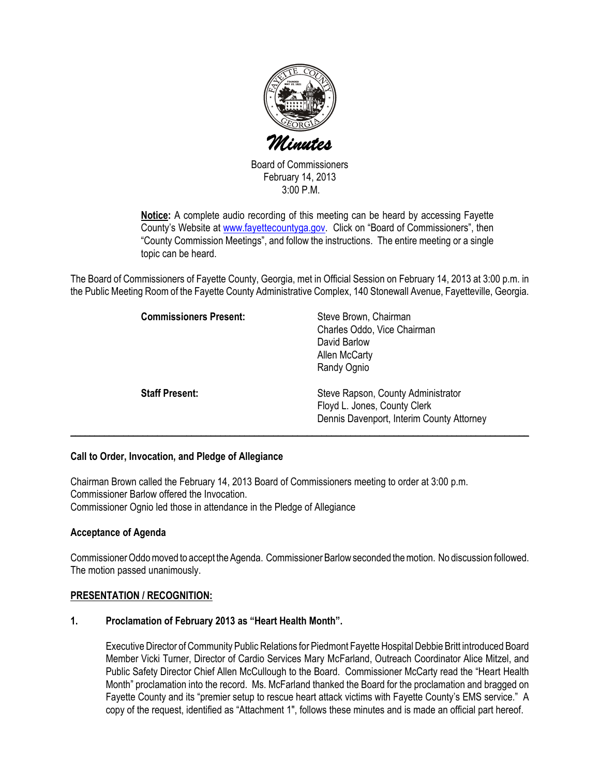

Board of Commissioners February 14, 2013 3:00 P.M.

Notice: A complete audio recording of this meeting can be heard by accessing Fayette County's Website at www.fayettecountyga.gov. Click on "Board of Commissioners", then "County Commission Meetings", and follow the instructions. The entire meeting or a single topic can be heard.

The Board of Commissioners of Fayette County, Georgia, met in Official Session on February 14, 2013 at 3:00 p.m. in the Public Meeting Room of the Fayette County Administrative Complex, 140 Stonewall Avenue, Fayetteville, Georgia.

| <b>Commissioners Present:</b> | Steve Brown, Chairman<br>Charles Oddo, Vice Chairman<br>David Barlow<br>Allen McCarty<br>Randy Ognio            |
|-------------------------------|-----------------------------------------------------------------------------------------------------------------|
| <b>Staff Present:</b>         | Steve Rapson, County Administrator<br>Floyd L. Jones, County Clerk<br>Dennis Davenport, Interim County Attorney |

# Call to Order, Invocation, and Pledge of Allegiance

Chairman Brown called the February 14, 2013 Board of Commissioners meeting to order at 3:00 p.m. Commissioner Barlow offered the Invocation. Commissioner Ognio led those in attendance in the Pledge of Allegiance

## Acceptance of Agenda

Commissioner Oddo moved to accept the Agenda. Commissioner Barlow seconded the motion. No discussion followed. The motion passed unanimously.

## PRESENTATION / RECOGNITION:

## 1. Proclamation of February 2013 as "Heart Health Month".

Executive Director of Community Public Relations for Piedmont Fayette Hospital Debbie Britt introduced Board Member Vicki Turner, Director of Cardio Services Mary McFarland, Outreach Coordinator Alice Mitzel, and Public Safety Director Chief Allen McCullough to the Board. Commissioner McCarty read the "Heart Health Month" proclamation into the record. Ms. McFarland thanked the Board for the proclamation and bragged on Fayette County and its "premier setup to rescue heart attack victims with Fayette County's EMS service." A copy of the request, identified as "Attachment 1", follows these minutes and is made an official part hereof.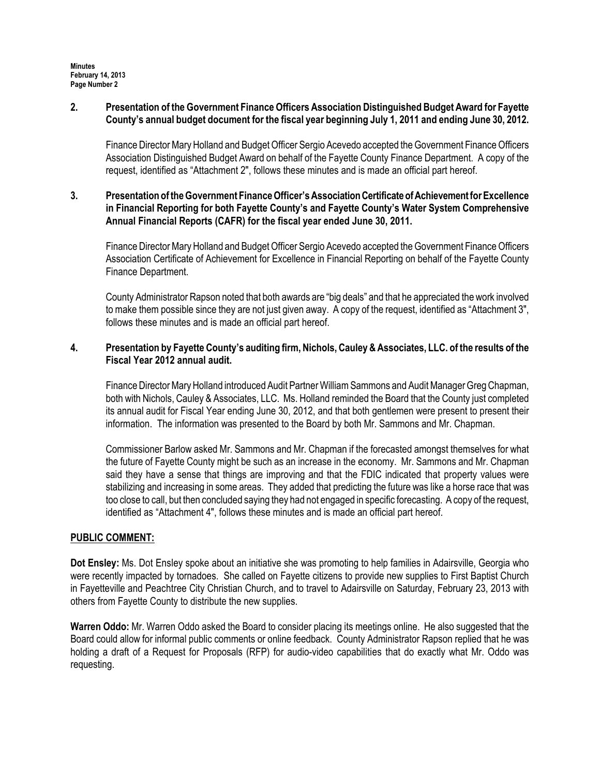## 2. Presentation of the Government Finance Officers Association Distinguished Budget Award for Fayette County's annual budget document for the fiscal year beginning July 1, 2011 and ending June 30, 2012.

Finance Director Mary Holland and Budget Officer Sergio Acevedo accepted the Government Finance Officers Association Distinguished Budget Award on behalf of the Fayette County Finance Department. A copy of the request, identified as "Attachment 2", follows these minutes and is made an official part hereof.

## 3. Presentation of the Government Finance Officer's Association Certificate of Achievement for Excellence in Financial Reporting for both Fayette County's and Fayette County's Water System Comprehensive Annual Financial Reports (CAFR) for the fiscal year ended June 30, 2011.

Finance Director Mary Holland and Budget Officer Sergio Acevedo accepted the Government Finance Officers Association Certificate of Achievement for Excellence in Financial Reporting on behalf of the Fayette County Finance Department.

County Administrator Rapson noted that both awards are "big deals" and that he appreciated the work involved to make them possible since they are not just given away. A copy of the request, identified as "Attachment 3", follows these minutes and is made an official part hereof.

## 4. Presentation by Fayette County's auditing firm, Nichols, Cauley & Associates, LLC. of the results of the Fiscal Year 2012 annual audit.

Finance Director Mary Holland introduced Audit Partner William Sammons and Audit Manager Greg Chapman, both with Nichols, Cauley & Associates, LLC. Ms. Holland reminded the Board that the County just completed its annual audit for Fiscal Year ending June 30, 2012, and that both gentlemen were present to present their information. The information was presented to the Board by both Mr. Sammons and Mr. Chapman.

Commissioner Barlow asked Mr. Sammons and Mr. Chapman if the forecasted amongst themselves for what the future of Fayette County might be such as an increase in the economy. Mr. Sammons and Mr. Chapman said they have a sense that things are improving and that the FDIC indicated that property values were stabilizing and increasing in some areas. They added that predicting the future was like a horse race that was too close to call, but then concluded saying they had not engaged in specific forecasting. A copy of the request, identified as "Attachment 4", follows these minutes and is made an official part hereof.

# PUBLIC COMMENT:

Dot Ensley: Ms. Dot Ensley spoke about an initiative she was promoting to help families in Adairsville, Georgia who were recently impacted by tornadoes. She called on Fayette citizens to provide new supplies to First Baptist Church in Fayetteville and Peachtree City Christian Church, and to travel to Adairsville on Saturday, February 23, 2013 with others from Fayette County to distribute the new supplies.

Warren Oddo: Mr. Warren Oddo asked the Board to consider placing its meetings online. He also suggested that the Board could allow for informal public comments or online feedback. County Administrator Rapson replied that he was holding a draft of a Request for Proposals (RFP) for audio-video capabilities that do exactly what Mr. Oddo was requesting.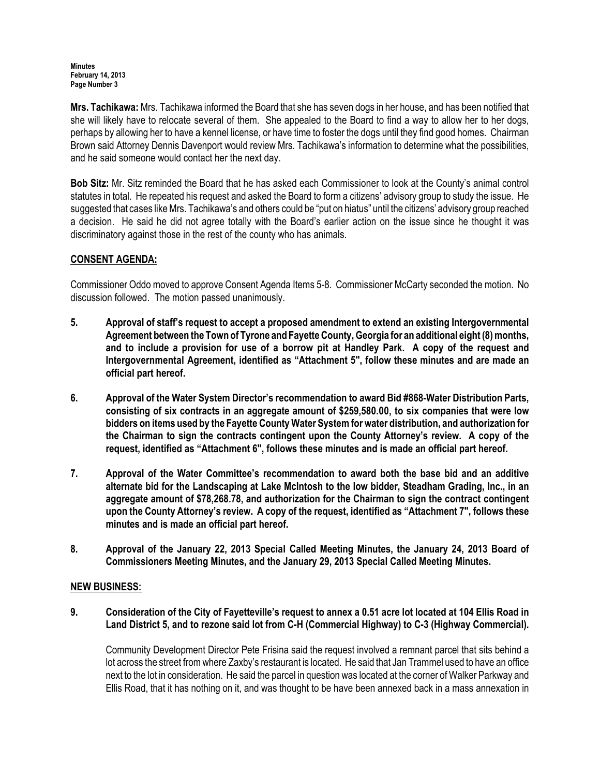#### Minutes February 14, 2013 Page Number 3

Mrs. Tachikawa: Mrs. Tachikawa informed the Board that she has seven dogs in her house, and has been notified that she will likely have to relocate several of them. She appealed to the Board to find a way to allow her to her dogs, perhaps by allowing her to have a kennel license, or have time to foster the dogs until they find good homes. Chairman Brown said Attorney Dennis Davenport would review Mrs. Tachikawa's information to determine what the possibilities, and he said someone would contact her the next day.

Bob Sitz: Mr. Sitz reminded the Board that he has asked each Commissioner to look at the County's animal control statutes in total. He repeated his request and asked the Board to form a citizens' advisory group to study the issue. He suggested that cases like Mrs. Tachikawa's and others could be "put on hiatus" until the citizens' advisory group reached a decision. He said he did not agree totally with the Board's earlier action on the issue since he thought it was discriminatory against those in the rest of the county who has animals.

# CONSENT AGENDA:

Commissioner Oddo moved to approve Consent Agenda Items 5-8. Commissioner McCarty seconded the motion. No discussion followed. The motion passed unanimously.

- 5. Approval of staff's request to accept a proposed amendment to extend an existing Intergovernmental Agreement between the Town of Tyrone and Fayette County, Georgia for an additional eight (8) months, and to include a provision for use of a borrow pit at Handley Park. A copy of the request and Intergovernmental Agreement, identified as "Attachment 5", follow these minutes and are made an official part hereof.
- 6. Approval of the Water System Director's recommendation to award Bid #868-Water Distribution Parts, consisting of six contracts in an aggregate amount of \$259,580.00, to six companies that were low bidders on items used by the Fayette County Water System for water distribution, and authorization for the Chairman to sign the contracts contingent upon the County Attorney's review. A copy of the request, identified as "Attachment 6", follows these minutes and is made an official part hereof.
- 7. Approval of the Water Committee's recommendation to award both the base bid and an additive alternate bid for the Landscaping at Lake McIntosh to the low bidder, Steadham Grading, Inc., in an aggregate amount of \$78,268.78, and authorization for the Chairman to sign the contract contingent upon the County Attorney's review. A copy of the request, identified as "Attachment 7", follows these minutes and is made an official part hereof.
- 8. Approval of the January 22, 2013 Special Called Meeting Minutes, the January 24, 2013 Board of Commissioners Meeting Minutes, and the January 29, 2013 Special Called Meeting Minutes.

# NEW BUSINESS:

9. Consideration of the City of Fayetteville's request to annex a 0.51 acre lot located at 104 Ellis Road in Land District 5, and to rezone said lot from C-H (Commercial Highway) to C-3 (Highway Commercial).

Community Development Director Pete Frisina said the request involved a remnant parcel that sits behind a lot across the street from where Zaxby's restaurant is located. He said that Jan Trammel used to have an office next to the lot in consideration. He said the parcel in question was located at the corner of Walker Parkway and Ellis Road, that it has nothing on it, and was thought to be have been annexed back in a mass annexation in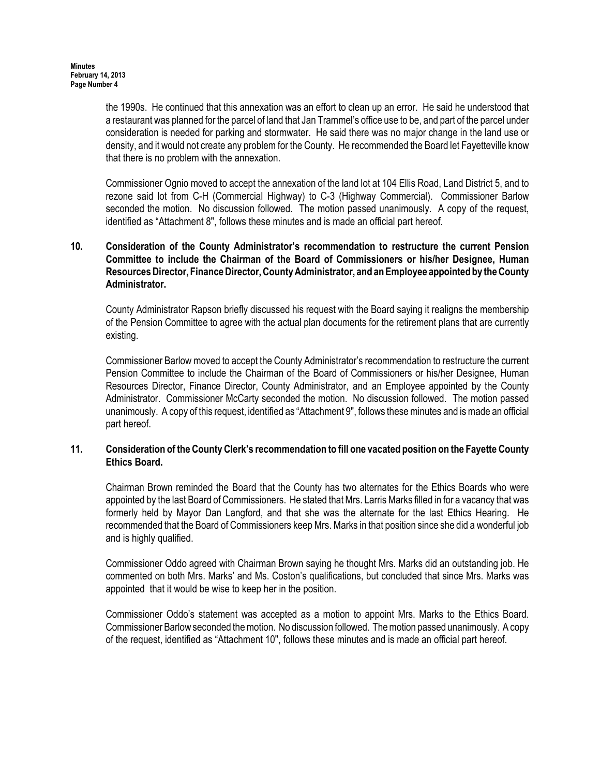the 1990s. He continued that this annexation was an effort to clean up an error. He said he understood that a restaurant was planned for the parcel of land that Jan Trammel's office use to be, and part of the parcel under consideration is needed for parking and stormwater. He said there was no major change in the land use or density, and it would not create any problem for the County. He recommended the Board let Fayetteville know that there is no problem with the annexation.

Commissioner Ognio moved to accept the annexation of the land lot at 104 Ellis Road, Land District 5, and to rezone said lot from C-H (Commercial Highway) to C-3 (Highway Commercial). Commissioner Barlow seconded the motion. No discussion followed. The motion passed unanimously. A copy of the request, identified as "Attachment 8", follows these minutes and is made an official part hereof.

## 10. Consideration of the County Administrator's recommendation to restructure the current Pension Committee to include the Chairman of the Board of Commissioners or his/her Designee, Human Resources Director, Finance Director, County Administrator, and an Employee appointed by the County Administrator.

County Administrator Rapson briefly discussed his request with the Board saying it realigns the membership of the Pension Committee to agree with the actual plan documents for the retirement plans that are currently existing.

Commissioner Barlow moved to accept the County Administrator's recommendation to restructure the current Pension Committee to include the Chairman of the Board of Commissioners or his/her Designee, Human Resources Director, Finance Director, County Administrator, and an Employee appointed by the County Administrator. Commissioner McCarty seconded the motion. No discussion followed. The motion passed unanimously. A copy of this request, identified as "Attachment 9", follows these minutes and is made an official part hereof.

## 11. Consideration of the County Clerk's recommendation to fill one vacated position on the Fayette County Ethics Board.

Chairman Brown reminded the Board that the County has two alternates for the Ethics Boards who were appointed by the last Board of Commissioners. He stated that Mrs. Larris Marks filled in for a vacancy that was formerly held by Mayor Dan Langford, and that she was the alternate for the last Ethics Hearing. He recommended that the Board of Commissioners keep Mrs. Marks in that position since she did a wonderful job and is highly qualified.

Commissioner Oddo agreed with Chairman Brown saying he thought Mrs. Marks did an outstanding job. He commented on both Mrs. Marks' and Ms. Coston's qualifications, but concluded that since Mrs. Marks was appointed that it would be wise to keep her in the position.

Commissioner Oddo's statement was accepted as a motion to appoint Mrs. Marks to the Ethics Board. Commissioner Barlow seconded the motion. No discussion followed. The motion passed unanimously. A copy of the request, identified as "Attachment 10", follows these minutes and is made an official part hereof.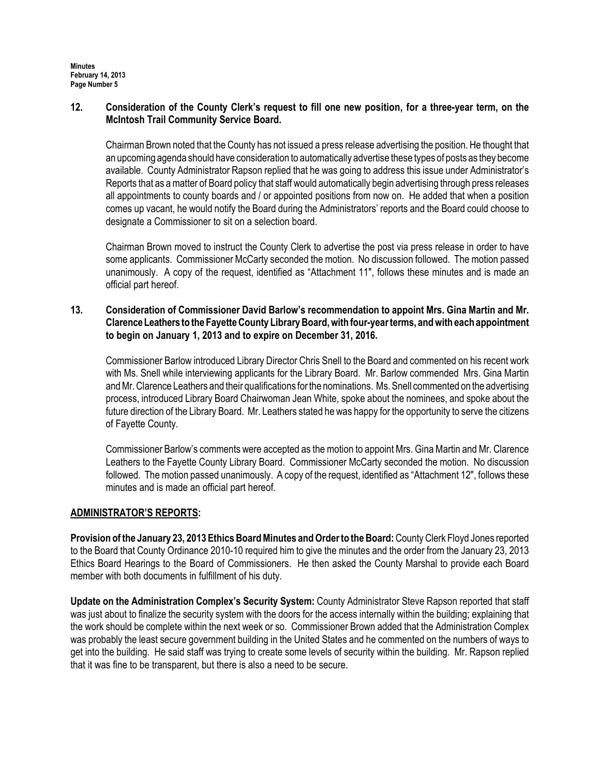## 12. Consideration of the County Clerk's request to fill one new position, for a three-year term, on the McIntosh Trail Community Service Board.

Chairman Brown noted that the County has not issued a press release advertising the position. He thought that an upcoming agenda should have consideration to automatically advertise these types of posts as they become available. County Administrator Rapson replied that he was going to address this issue under Administrator's Reports that as a matter of Board policy that staff would automatically begin advertising through press releases all appointments to county boards and / or appointed positions from now on. He added that when a position comes up vacant, he would notify the Board during the Administrators' reports and the Board could choose to designate a Commissioner to sit on a selection board.

Chairman Brown moved to instruct the County Clerk to advertise the post via press release in order to have some applicants. Commissioner McCarty seconded the motion. No discussion followed. The motion passed unanimously. A copy of the request, identified as "Attachment 11", follows these minutes and is made an official part hereof.

## 13. Consideration of Commissioner David Barlow's recommendation to appoint Mrs. Gina Martin and Mr. Clarence Leathers to the Fayette County Library Board, with four-year terms, and with each appointment to begin on January 1, 2013 and to expire on December 31, 2016.

Commissioner Barlow introduced Library Director Chris Snell to the Board and commented on his recent work with Ms. Snell while interviewing applicants for the Library Board. Mr. Barlow commended Mrs. Gina Martin and Mr. Clarence Leathers and their qualifications for the nominations. Ms. Snell commented on the advertising process, introduced Library Board Chairwoman Jean White, spoke about the nominees, and spoke about the future direction of the Library Board. Mr. Leathers stated he was happy for the opportunity to serve the citizens of Fayette County.

Commissioner Barlow's comments were accepted as the motion to appoint Mrs. Gina Martin and Mr. Clarence Leathers to the Fayette County Library Board. Commissioner McCarty seconded the motion. No discussion followed. The motion passed unanimously. A copy of the request, identified as "Attachment 12", follows these minutes and is made an official part hereof.

# ADMINISTRATOR'S REPORTS:

Provision of the January 23, 2013 Ethics Board Minutes and Order to the Board: County Clerk Floyd Jones reported to the Board that County Ordinance 2010-10 required him to give the minutes and the order from the January 23, 2013 Ethics Board Hearings to the Board of Commissioners. He then asked the County Marshal to provide each Board member with both documents in fulfillment of his duty.

Update on the Administration Complex's Security System: County Administrator Steve Rapson reported that staff was just about to finalize the security system with the doors for the access internally within the building; explaining that the work should be complete within the next week or so. Commissioner Brown added that the Administration Complex was probably the least secure government building in the United States and he commented on the numbers of ways to get into the building. He said staff was trying to create some levels of security within the building. Mr. Rapson replied that it was fine to be transparent, but there is also a need to be secure.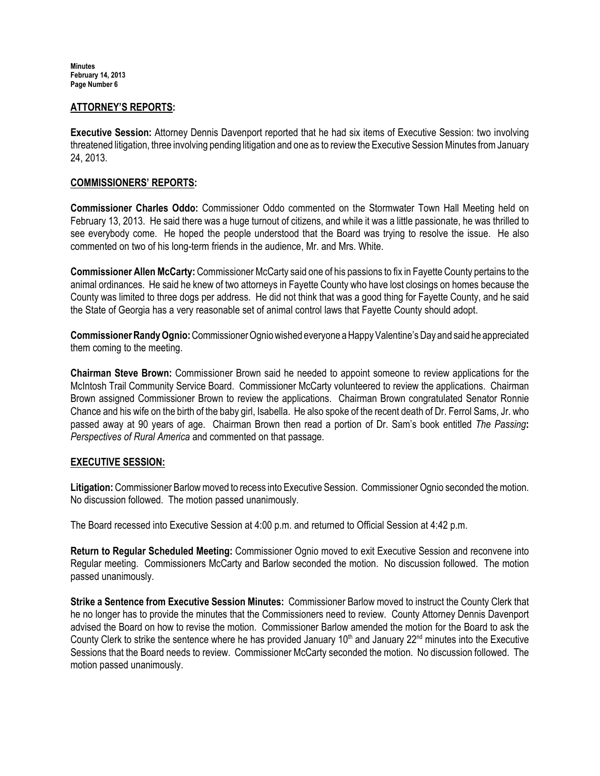**Minutes** February 14, 2013 Page Number 6

#### ATTORNEY'S REPORTS:

Executive Session: Attorney Dennis Davenport reported that he had six items of Executive Session: two involving threatened litigation, three involving pending litigation and one as to review the Executive Session Minutes from January 24, 2013.

#### COMMISSIONERS' REPORTS:

Commissioner Charles Oddo: Commissioner Oddo commented on the Stormwater Town Hall Meeting held on February 13, 2013. He said there was a huge turnout of citizens, and while it was a little passionate, he was thrilled to see everybody come. He hoped the people understood that the Board was trying to resolve the issue. He also commented on two of his long-term friends in the audience, Mr. and Mrs. White.

Commissioner Allen McCarty: Commissioner McCarty said one of his passions to fix in Fayette County pertains to the animal ordinances. He said he knew of two attorneys in Fayette County who have lost closings on homes because the County was limited to three dogs per address. He did not think that was a good thing for Fayette County, and he said the State of Georgia has a very reasonable set of animal control laws that Fayette County should adopt.

Commissioner Randy Ognio: Commissioner Ognio wished everyone a Happy Valentine's Day and said he appreciated them coming to the meeting.

Chairman Steve Brown: Commissioner Brown said he needed to appoint someone to review applications for the McIntosh Trail Community Service Board. Commissioner McCarty volunteered to review the applications. Chairman Brown assigned Commissioner Brown to review the applications. Chairman Brown congratulated Senator Ronnie Chance and his wife on the birth of the baby girl, Isabella. He also spoke of the recent death of Dr. Ferrol Sams, Jr. who passed away at 90 years of age. Chairman Brown then read a portion of Dr. Sam's book entitled The Passing: Perspectives of Rural America and commented on that passage.

## EXECUTIVE SESSION:

Litigation: Commissioner Barlow moved to recess into Executive Session. Commissioner Ognio seconded the motion. No discussion followed. The motion passed unanimously.

The Board recessed into Executive Session at 4:00 p.m. and returned to Official Session at 4:42 p.m.

Return to Regular Scheduled Meeting: Commissioner Ognio moved to exit Executive Session and reconvene into Regular meeting. Commissioners McCarty and Barlow seconded the motion. No discussion followed. The motion passed unanimously.

Strike a Sentence from Executive Session Minutes: Commissioner Barlow moved to instruct the County Clerk that he no longer has to provide the minutes that the Commissioners need to review. County Attorney Dennis Davenport advised the Board on how to revise the motion. Commissioner Barlow amended the motion for the Board to ask the County Clerk to strike the sentence where he has provided January  $10<sup>th</sup>$  and January  $22<sup>nd</sup>$  minutes into the Executive Sessions that the Board needs to review. Commissioner McCarty seconded the motion. No discussion followed. The motion passed unanimously.